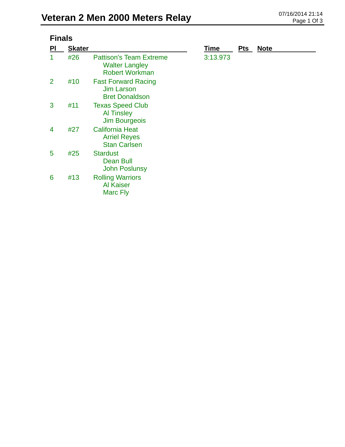| <b>Finals</b>  |               |                                                                                  |          |            |             |  |  |
|----------------|---------------|----------------------------------------------------------------------------------|----------|------------|-------------|--|--|
| PI             | <b>Skater</b> |                                                                                  | Time     | <b>Pts</b> | <b>Note</b> |  |  |
| 1              | #26           | <b>Pattison's Team Extreme</b><br><b>Walter Langley</b><br><b>Robert Workman</b> | 3:13.973 |            |             |  |  |
| $\overline{2}$ | #10           | <b>Fast Forward Racing</b><br><b>Jim Larson</b><br><b>Bret Donaldson</b>         |          |            |             |  |  |
| 3              | #11           | <b>Texas Speed Club</b><br><b>Al Tinsley</b><br><b>Jim Bourgeois</b>             |          |            |             |  |  |
| 4              | #27           | <b>California Heat</b><br><b>Arriel Reyes</b><br><b>Stan Carlsen</b>             |          |            |             |  |  |
| 5              | #25           | <b>Stardust</b><br><b>Dean Bull</b><br><b>John Poslunsy</b>                      |          |            |             |  |  |
| 6              | #13           | <b>Rolling Warriors</b><br><b>Al Kaiser</b><br>Marc Fly                          |          |            |             |  |  |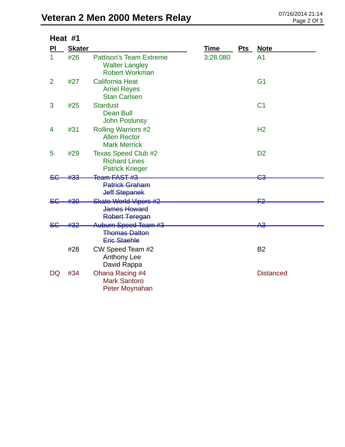| Heat #1        |               |                                                                                  |          |            |                  |  |
|----------------|---------------|----------------------------------------------------------------------------------|----------|------------|------------------|--|
| PI             | <b>Skater</b> |                                                                                  | Time     | <u>Pts</u> | <b>Note</b>      |  |
| 1              | #26           | <b>Pattison's Team Extreme</b><br><b>Walter Langley</b><br><b>Robert Workman</b> | 3:28.080 |            | A <sub>1</sub>   |  |
| $\overline{2}$ | #27           | <b>California Heat</b><br><b>Arriel Reyes</b><br><b>Stan Carlsen</b>             |          |            | G <sub>1</sub>   |  |
| 3              | #25           | <b>Stardust</b><br><b>Dean Bull</b><br><b>John Poslunsy</b>                      |          |            | C <sub>1</sub>   |  |
| 4              | #31           | <b>Rolling Warriors #2</b><br><b>Allen Rector</b><br><b>Mark Merrick</b>         |          |            | H <sub>2</sub>   |  |
| 5              | #29           | <b>Texas Speed Club #2</b><br><b>Richard Lines</b><br><b>Patrick Krieger</b>     |          |            | D <sub>2</sub>   |  |
|                |               | Team FAST #3                                                                     |          |            |                  |  |
|                |               | <b>Patrick Graham</b><br><b>Jeff Stepanek</b>                                    |          |            |                  |  |
| <del>SC</del>  | #30           | <b>Skate World Vipers #2</b><br>James Howard<br><b>Robert Teregan</b>            |          |            |                  |  |
| <del>SG</del>  |               | Auburn Speed Team #3<br><b>Thomas Dalton</b><br><b>Eric Staehle</b>              |          |            | <del>АЗ</del>    |  |
|                | #28           | CW Speed Team #2<br><b>Anthony Lee</b><br>David Rappa                            |          |            | <b>B2</b>        |  |
| DQ             | #34           | Ohana Racing #4<br><b>Mark Santoro</b><br>Peter Moynahan                         |          |            | <b>Distanced</b> |  |